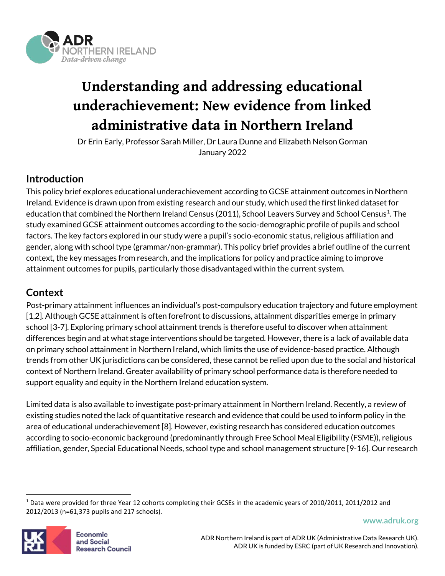

# **Understanding and addressing educational underachievement: New evidence from linked administrative data in Northern Ireland**

Dr Erin Early, Professor Sarah Miller, Dr Laura Dunne and Elizabeth Nelson Gorman January 2022

# **Introduction**

This policy brief explores educational underachievement according to GCSE attainment outcomes in Northern Ireland. Evidence is drawn upon from existing research and our study, which used the first linked dataset for education that combined the Northern Ireland Census (2011), School Leavers Survey and School Census<sup>1</sup>. The study examined GCSE attainment outcomes according to the socio-demographic profile of pupils and school factors. The key factors explored in our study were a pupil's socio-economic status, religious affiliation and gender, along with school type (grammar/non-grammar). This policy brief provides a brief outline of the current context, the key messages from research, and the implications for policy and practice aiming to improve attainment outcomes for pupils, particularly those disadvantaged within the current system.

# **Context**

Post-primary attainment influences an individual's post-compulsory education trajectory and future employment [1,2]. Although GCSE attainment is often forefront to discussions, attainment disparities emerge in primary school [3-7]. Exploring primary school attainment trends is therefore useful to discover when attainment differences begin and at what stage interventions should be targeted. However, there is a lack of available data on primary school attainment in Northern Ireland, which limits the use of evidence-based practice. Although trends from other UK jurisdictions can be considered, these cannot be relied upon due to the social and historical context of Northern Ireland. Greater availability of primary school performance data is therefore needed to support equality and equity in the Northern Ireland education system.

Limited data is also available to investigate post-primary attainment in Northern Ireland. Recently, a review of existing studies noted the lack of quantitative research and evidence that could be used to inform policy in the area of educational underachievement[8]. However, existing research has considered education outcomes according to socio-economic background (predominantly through Free School Meal Eligibility (FSME)), religious affiliation, gender, Special Educational Needs, school type and school management structure [9-16]. Our research



<span id="page-0-0"></span> $1$  Data were provided for three Year 12 cohorts completing their GCSEs in the academic years of 2010/2011, 2011/2012 and 2012/2013 (n=61,373 pupils and 217 schools).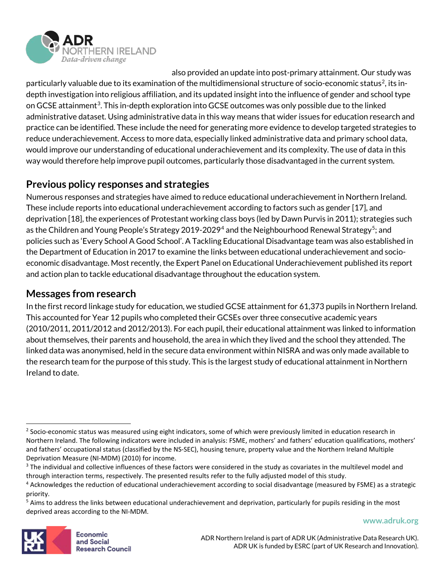

also provided an update into post-primary attainment. Our study was particularly valuable due to its examination of the multidimensional structure of socio-economic status<sup>2</sup>, its indepth investigation into religious affiliation, and its updated insight into the influence of gender and school type on GCSE attainment<sup>[3](#page-1-1)</sup>. This in-depth exploration into GCSE outcomes was only possible due to the linked administrative dataset. Using administrative data in this way means that wider issues for education research and practice can be identified. These include the need for generating more evidence to develop targeted strategies to reduce underachievement. Access to more data, especially linked administrative data and primary school data, would improve our understanding of educational underachievement and its complexity. The use of data in this way would therefore help improve pupil outcomes, particularly those disadvantaged in the current system.

# **Previous policy responses and strategies**

Numerous responses and strategies have aimed to reduce educational underachievement in Northern Ireland. These include reports into educational underachievement according to factors such as gender [17], and deprivation [18], the experiences of Protestant working class boys (led by Dawn Purvis in 2011); strategies such as the Children and Young People's Strategy 2019-2029<sup>[4](#page-1-2)</sup> and the Neighbourhood Renewal Strategy<sup>[5](#page-1-3)</sup>; and policies such as 'Every School A Good School'. A Tackling Educational Disadvantage team was also established in the Department of Education in 2017 to examine the links between educational underachievement and socioeconomic disadvantage. Most recently, the Expert Panel on Educational Underachievement published its report and action plan to tackle educational disadvantage throughout the education system.

## **Messages from research**

In the first record linkage study for education, we studied GCSE attainment for 61,373 pupils in Northern Ireland. This accounted for Year 12 pupils who completed their GCSEs over three consecutive academic years (2010/2011, 2011/2012 and 2012/2013). For each pupil, their educational attainment was linked to information about themselves, their parents and household, the area in which they lived and the school they attended. The linked data was anonymised, held in the secure data environment within NISRA and was only made available to the research team for the purpose of this study. This is the largest study of educational attainment in Northern Ireland to date.



<span id="page-1-0"></span><sup>&</sup>lt;sup>2</sup> Socio-economic status was measured using eight indicators, some of which were previously limited in education research in Northern Ireland. The following indicators were included in analysis: FSME, mothers' and fathers' education qualifications, mothers' and fathers' occupational status (classified by the NS-SEC), housing tenure, property value and the Northern Ireland Multiple Deprivation Measure (NI-MDM) (2010) for income.

<span id="page-1-1"></span><sup>&</sup>lt;sup>3</sup> The individual and collective influences of these factors were considered in the study as covariates in the multilevel model and through interaction terms, respectively. The presented results refer to the fully adjusted model of this study.

<span id="page-1-2"></span><sup>4</sup> Acknowledges the reduction of educational underachievement according to social disadvantage (measured by FSME) as a strategic priority.

<span id="page-1-3"></span><sup>&</sup>lt;sup>5</sup> Aims to address the links between educational underachievement and deprivation, particularly for pupils residing in the most deprived areas according to the NI-MDM.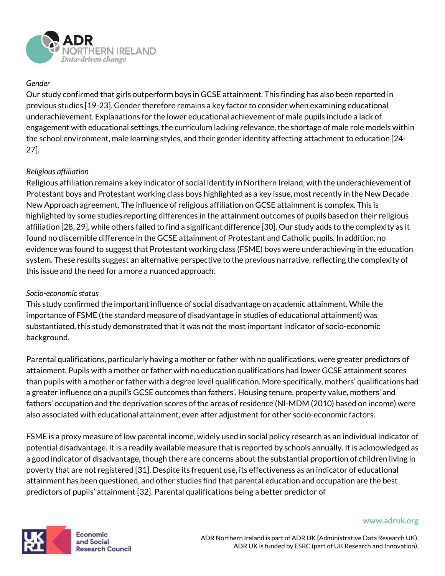

## *Gender*

Our study confirmed that girls outperform boys in GCSE attainment. This finding has also been reported in previous studies [19-23]. Gender therefore remains a key factor to consider when examining educational underachievement. Explanations for the lower educational achievement of male pupils include a lack of engagement with educational settings, the curriculum lacking relevance, the shortage of male role models within the school environment, male learning styles, and their gender identity affecting attachment to education [24- 27].

#### *Religious affiliation*

Religious affiliation remains a key indicator of social identity in Northern Ireland, with the underachievement of Protestant boys and Protestant working class boys highlighted as a key issue, most recently in the New Decade New Approach agreement. The influence of religious affiliation on GCSE attainment is complex. This is highlighted by some studies reporting differences in the attainment outcomes of pupils based on their religious affiliation [28, 29], while others failed to find a significant difference [30]. Our study adds to the complexity as it found no discernible difference in the GCSE attainment of Protestant and Catholic pupils. In addition, no evidence was found to suggest that Protestant working class (FSME) boys were underachieving in the education system. These results suggest an alternative perspective to the previous narrative, reflecting the complexity of this issue and the need for a more a nuanced approach.

#### *Socio-economic status*

This study confirmed the important influence of social disadvantage on academic attainment. While the importance of FSME (the standard measure of disadvantage in studies of educational attainment) was substantiated, this study demonstrated that it was not the most important indicator of socio-economic background.

Parental qualifications, particularly having a mother or father with no qualifications, were greater predictors of attainment. Pupils with a mother or father with no education qualifications had lower GCSE attainment scores than pupils with a mother or father with a degree level qualification. More specifically, mothers' qualifications had a greater influence on a pupil's GCSE outcomes than fathers'. Housing tenure, property value, mothers' and fathers' occupation and the deprivation scores of the areas of residence (NI-MDM (2010) based on income) were also associated with educational attainment, even after adjustment for other socio-economic factors.

FSME is a proxy measure of low parental income, widely used in social policy research as an individual indicator of potential disadvantage. It is a readily available measure that is reported by schools annually. It is acknowledged as a good indicator of disadvantage, though there are concerns about the substantial proportion of children living in poverty that are not registered [31]. Despite its frequent use, its effectiveness as an indicator of educational attainment has been questioned, and other studies find that parental education and occupation are the best predictors of pupils' attainment [32]. Parental qualifications being a better predictor of



Economic and Social **Research Council** 

ADR Northern Ireland is part of ADR UK (Administrative Data Research UK). ADR UK is funded by ESRC (part of UK Research and Innovation).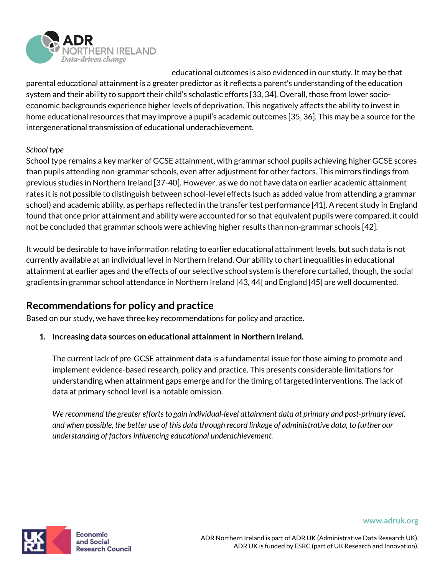

educational outcomes is also evidenced in our study. It may be that parental educational attainment is a greater predictor as it reflects a parent's understanding of the education system and their ability to support their child's scholastic efforts [33, 34]. Overall, those from lower socioeconomic backgrounds experience higher levels of deprivation. This negatively affects the ability to invest in home educational resources that may improve a pupil's academic outcomes [35, 36]. This may be a source for the intergenerational transmission of educational underachievement.

## *School type*

School type remains a key marker of GCSE attainment, with grammar school pupils achieving higher GCSE scores than pupils attending non-grammar schools, even after adjustment for other factors. This mirrors findings from previous studies in Northern Ireland [37-40]. However, as we do not have data on earlier academic attainment rates it is not possible to distinguish between school-level effects (such as added value from attending a grammar school) and academic ability, as perhaps reflected in the transfer test performance [41]. A recent study in England found that once prior attainment and ability were accounted for so that equivalent pupils were compared, it could not be concluded that grammar schools were achieving higher results than non-grammar schools [42].

It would be desirable to have information relating to earlier educational attainment levels, but such data is not currently available at an individual level in Northern Ireland. Our ability to chart inequalities in educational attainment at earlier ages and the effects of our selective school system is therefore curtailed, though, the social gradients in grammar school attendance in Northern Ireland [43, 44] and England [45] are well documented.

# **Recommendations for policy and practice**

Based on our study, we have three key recommendations for policy and practice.

**1. Increasing data sources on educational attainment in Northern Ireland.** 

The current lack of pre-GCSE attainment data is a fundamental issue for those aiming to promote and implement evidence-based research, policy and practice. This presents considerable limitations for understanding when attainment gaps emerge and for the timing of targeted interventions. The lack of data at primary school level is a notable omission.

*We recommend the greater efforts to gain individual-level attainment data at primary and post-primary level, and when possible, the better use of this data through record linkage of administrative data, to further our understanding of factors influencing educational underachievement.* 

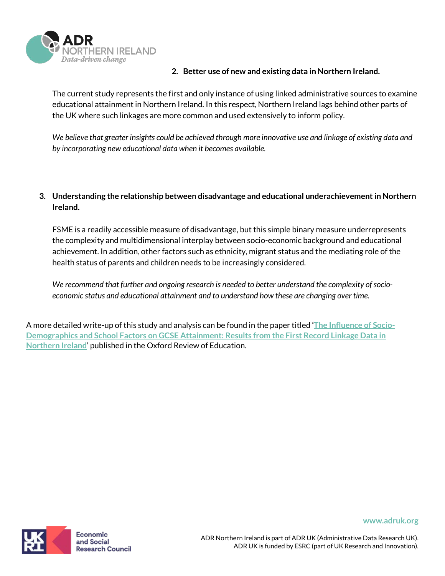

#### **2. Better use of new and existing data in Northern Ireland.**

The current study represents the first and only instance of using linked administrative sources to examine educational attainment in Northern Ireland. In this respect, Northern Ireland lags behind other parts of the UK where such linkages are more common and used extensively to inform policy.

*We believe that greater insights could be achieved through more innovative use and linkage of existing data and by incorporating new educational data when it becomes available.* 

## **3. Understanding the relationship between disadvantage and educational underachievement in Northern Ireland.**

FSME is a readily accessible measure of disadvantage, but this simple binary measure underrepresents the complexity and multidimensional interplay between socio-economic background and educational achievement. In addition, other factors such as ethnicity, migrant status and the mediating role of the health status of parents and children needs to be increasingly considered.

*We recommend that further and ongoing research is needed to better understand the complexity of socioeconomic status and educational attainment and to understand how these are changing over time.* 

A more detailed write-up of this study and analysis can be found in the paper titled **['The Influence of Socio-](http://dx.doi.org/10.1080/03054985.2022.2035340)[Demographics and School Factors on GCSE Attainment: Results from the First Record Linkage Data in](http://dx.doi.org/10.1080/03054985.2022.2035340)  [Northern Ireland](http://dx.doi.org/10.1080/03054985.2022.2035340)**' published in the Oxford Review of Education.



Economic and Social **Research Council**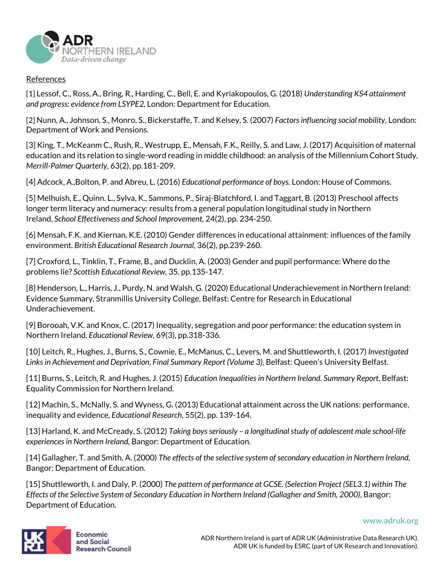

#### **References**

[1] Lessof, C., Ross, A., Bring, R., Harding, C., Bell, E. and Kyriakopoulos, G. (2018) *Understanding KS4 attainment and progress: evidence from LSYPE2,* London: Department for Education.

[2] Nunn, A., Johnson, S., Monro, S., Bickerstaffe, T. and Kelsey, S. (2007) *Factors influencing social mobility,* London: Department of Work and Pensions.

[3] King, T., McKeanm C., Rush, R., Westrupp, E., Mensah, F.K., Reilly, S. and Law, J. (2017) Acquisition of maternal education and its relation to single-word reading in middle childhood: an analysis of the Millennium Cohort Study, *Merrill-Palmer Quarterly,* 63(2), pp.181-209.

[4] Adcock, A.,Bolton, P. and Abreu, L. (2016) *Educational performance of boys.* London: House of Commons.

[5] Melhuish, E., Quinn. L., Sylva, K., Sammons, P., Siraj-Blatchford, I. and Taggart, B. (2013) Preschool affects longer term literacy and numeracy: results from a general population longitudinal study in Northern Ireland, *School Effectiveness and School Improvement,* 24(2), pp. 234-250.

[6] Mensah, F.K. and Kiernan, K.E. (2010) Gender differences in educational attainment: influences of the family environment. *British Educational Research Journal,* 36(2), pp.239-260.

[7] Croxford, L., Tinklin, T., Frame, B., and Ducklin, A. (2003) Gender and pupil performance: Where do the problems lie? *Scottish Educational Review,* 35, pp.135-147.

[8] Henderson, L., Harris, J., Purdy, N. and Walsh, G. (2020) Educational Underachievement in Northern Ireland: Evidence Summary, Stranmillis University College, Belfast: Centre for Research in Educational Underachievement.

[9] Borooah, V.K. and Knox, C. (2017) Inequality, segregation and poor performance: the education system in Northern Ireland, *Educational Review,* 69(3), pp.318-336.

[10] Leitch, R., Hughes, J., Burns, S., Cownie, E., McManus, C., Levers, M. and Shuttleworth, I. (2017) *Investigated Links in Achievement and Deprivation*, *Final Summary Report (Volume 3),* Belfast: Queen's University Belfast.

[11] Burns, S., Leitch, R. and Hughes, J. (2015) *Education Inequalities in Northern Ireland. Summary Report*, Belfast: Equality Commission for Northern Ireland.

[12] Machin, S., McNally, S. and Wyness, G. (2013) Educational attainment across the UK nations: performance, inequality and evidence, *Educational Research,* 55(2), pp. 139-164.

[13] Harland, K. and McCready, S. (2012) *Taking boys seriously – a longitudinal study of adolescent male school-life experiences in Northern Ireland,* Bangor: Department of Education.

[14] Gallagher, T. and Smith, A. (2000) *The effects of the selective system of secondary education in Northern Ireland,*  Bangor: Department of Education.

[15] Shuttleworth, I. and Daly, P. (2000) *The pattern of performance at GCSE. (Selection Project (SEL3.1) within The Effects of the Selective System of Secondary Education in Northern Ireland (Gallagher and Smith, 2000)*, Bangor: Department of Education.

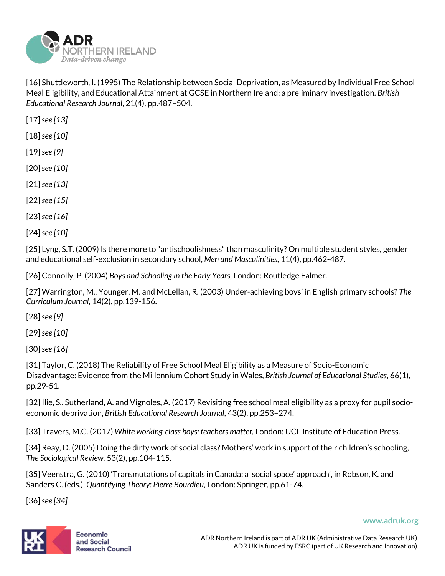

[16] Shuttleworth, I. (1995) The Relationship between Social Deprivation, as Measured by Individual Free School Meal Eligibility, and Educational Attainment at GCSE in Northern Ireland: a preliminary investigation. *British Educational Research Journal*, 21(4), pp.487–504.

[17] *see [13]*

[18] *see [10]*

- [19] *see [9]*
- [20] *see [10]*
- [21] *see [13]*
- [22] *see [15]*
- [23] *see [16]*
- [24] *see [10]*

[25] Lyng, S.T. (2009) Is there more to "antischoolishness" than masculinity? On multiple student styles, gender and educational self-exclusion in secondary school, *Men and Masculinities,* 11(4), pp.462-487.

[26] Connolly, P. (2004) *Boys and Schooling in the Early Years,* London: Routledge Falmer.

[27] Warrington, M., Younger, M. and McLellan, R. (2003) Under-achieving boys' in English primary schools? *The Curriculum Journal,* 14(2), pp.139-156.

[28] *see [9]*

[29] *see [10]*

[30] *see [16]*

[31] Taylor, C. (2018) The Reliability of Free School Meal Eligibility as a Measure of Socio-Economic Disadvantage: Evidence from the Millennium Cohort Study in Wales, *British Journal of Educational Studies*, 66(1), pp.29-51.

[32] Ilie, S., Sutherland, A. and Vignoles, A. (2017) Revisiting free school meal eligibility as a proxy for pupil socioeconomic deprivation, *British Educational Research Journal*, 43(2), pp.253–274.

[33] Travers, M.C. (2017) *White working-class boys: teachers matter,* London: UCL Institute of Education Press.

[34] Reay, D. (2005) Doing the dirty work of social class? Mothers' work in support of their children's schooling, *The Sociological Review,* 53(2), pp.104-115.

[35] Veenstra, G. (2010) 'Transmutations of capitals in Canada: a 'social space' approach', in Robson, K. and Sanders C. (eds.), *Quantifying Theory: Pierre Bourdieu,* London: Springer, pp.61-74.

[36] *see [34]*